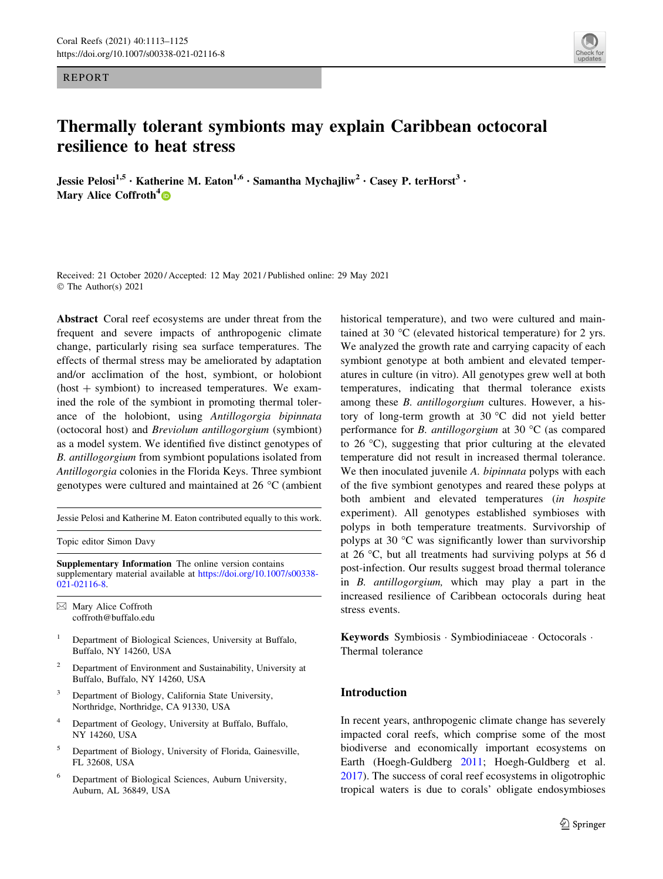REPORT

# Thermally tolerant symbionts may explain Caribbean octocoral resilience to heat stress

Jessie Pelosi<sup>1,5</sup> • Katherine M. Eaton<sup>1,6</sup> • Samantha Mychajliw<sup>2</sup> • Casey P. terHorst<sup>3</sup> • Mary Alice Coffroth<sup>4</sup>

Received: 21 October 2020 / Accepted: 12 May 2021 / Published online: 29 May 2021 © The Author(s) 2021

Abstract Coral reef ecosystems are under threat from the frequent and severe impacts of anthropogenic climate change, particularly rising sea surface temperatures. The effects of thermal stress may be ameliorated by adaptation and/or acclimation of the host, symbiont, or holobiont  $(host +$  symbiont) to increased temperatures. We examined the role of the symbiont in promoting thermal tolerance of the holobiont, using Antillogorgia bipinnata (octocoral host) and Breviolum antillogorgium (symbiont) as a model system. We identified five distinct genotypes of B. antillogorgium from symbiont populations isolated from Antillogorgia colonies in the Florida Keys. Three symbiont genotypes were cultured and maintained at  $26 \degree C$  (ambient

Jessie Pelosi and Katherine M. Eaton contributed equally to this work.

Topic editor Simon Davy

Supplementary Information The online version contains supplementary material available at [https://doi.org/10.1007/s00338-](https://doi.org/10.1007/s00338-021-02116-8) [021-02116-8](https://doi.org/10.1007/s00338-021-02116-8).

 $\boxtimes$  Mary Alice Coffroth coffroth@buffalo.edu

- <sup>1</sup> Department of Biological Sciences, University at Buffalo, Buffalo, NY 14260, USA
- <sup>2</sup> Department of Environment and Sustainability, University at Buffalo, Buffalo, NY 14260, USA
- <sup>3</sup> Department of Biology, California State University, Northridge, Northridge, CA 91330, USA
- Department of Geology, University at Buffalo, Buffalo, NY 14260, USA
- <sup>5</sup> Department of Biology, University of Florida, Gainesville, FL 32608, USA
- <sup>6</sup> Department of Biological Sciences, Auburn University, Auburn, AL 36849, USA

historical temperature), and two were cultured and maintained at 30  $\mathrm{^{\circ}C}$  (elevated historical temperature) for 2 yrs. We analyzed the growth rate and carrying capacity of each symbiont genotype at both ambient and elevated temperatures in culture (in vitro). All genotypes grew well at both temperatures, indicating that thermal tolerance exists among these B. antillogorgium cultures. However, a history of long-term growth at 30  $^{\circ}$ C did not yield better performance for *B. antillogorgium* at 30  $\degree$ C (as compared to  $26^{\circ}$ C), suggesting that prior culturing at the elevated temperature did not result in increased thermal tolerance. We then inoculated juvenile A. *bipinnata* polyps with each of the five symbiont genotypes and reared these polyps at both ambient and elevated temperatures (in hospite experiment). All genotypes established symbioses with polyps in both temperature treatments. Survivorship of polyps at 30  $\degree$ C was significantly lower than survivorship at 26  $\degree$ C, but all treatments had surviving polyps at 56 d post-infection. Our results suggest broad thermal tolerance in B. antillogorgium, which may play a part in the increased resilience of Caribbean octocorals during heat stress events.

Keywords Symbiosis - Symbiodiniaceae - Octocorals - Thermal tolerance

# Introduction

In recent years, anthropogenic climate change has severely impacted coral reefs, which comprise some of the most biodiverse and economically important ecosystems on Earth (Hoegh-Guldberg [2011;](#page-11-0) Hoegh-Guldberg et al. [2017](#page-11-0)). The success of coral reef ecosystems in oligotrophic tropical waters is due to corals' obligate endosymbioses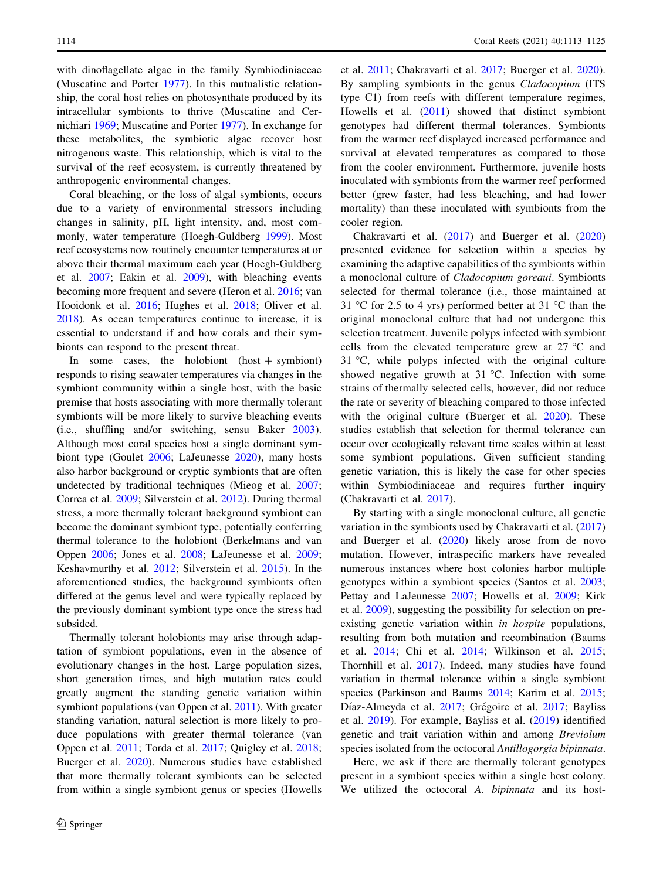with dinoflagellate algae in the family Symbiodiniaceae (Muscatine and Porter [1977\)](#page-11-0). In this mutualistic relationship, the coral host relies on photosynthate produced by its intracellular symbionts to thrive (Muscatine and Cernichiari [1969](#page-11-0); Muscatine and Porter [1977\)](#page-11-0). In exchange for these metabolites, the symbiotic algae recover host nitrogenous waste. This relationship, which is vital to the survival of the reef ecosystem, is currently threatened by anthropogenic environmental changes.

Coral bleaching, or the loss of algal symbionts, occurs due to a variety of environmental stressors including changes in salinity, pH, light intensity, and, most commonly, water temperature (Hoegh-Guldberg [1999](#page-11-0)). Most reef ecosystems now routinely encounter temperatures at or above their thermal maximum each year (Hoegh-Guldberg et al. [2007](#page-11-0); Eakin et al. [2009](#page-11-0)), with bleaching events becoming more frequent and severe (Heron et al. [2016](#page-11-0); van Hooidonk et al. [2016;](#page-12-0) Hughes et al. [2018](#page-11-0); Oliver et al. [2018\)](#page-11-0). As ocean temperatures continue to increase, it is essential to understand if and how corals and their symbionts can respond to the present threat.

In some cases, the holobiont  $(host +$ symbiont) responds to rising seawater temperatures via changes in the symbiont community within a single host, with the basic premise that hosts associating with more thermally tolerant symbionts will be more likely to survive bleaching events (i.e., shuffling and/or switching, sensu Baker [2003](#page-10-0)). Although most coral species host a single dominant symbiont type (Goulet [2006](#page-11-0); LaJeunesse [2020](#page-11-0)), many hosts also harbor background or cryptic symbionts that are often undetected by traditional techniques (Mieog et al. [2007](#page-11-0); Correa et al. [2009](#page-11-0); Silverstein et al. [2012](#page-12-0)). During thermal stress, a more thermally tolerant background symbiont can become the dominant symbiont type, potentially conferring thermal tolerance to the holobiont (Berkelmans and van Oppen [2006](#page-10-0); Jones et al. [2008;](#page-11-0) LaJeunesse et al. [2009](#page-11-0); Keshavmurthy et al. [2012;](#page-11-0) Silverstein et al. [2015](#page-12-0)). In the aforementioned studies, the background symbionts often differed at the genus level and were typically replaced by the previously dominant symbiont type once the stress had subsided.

Thermally tolerant holobionts may arise through adaptation of symbiont populations, even in the absence of evolutionary changes in the host. Large population sizes, short generation times, and high mutation rates could greatly augment the standing genetic variation within symbiont populations (van Oppen et al. [2011\)](#page-12-0). With greater standing variation, natural selection is more likely to produce populations with greater thermal tolerance (van Oppen et al. [2011](#page-12-0); Torda et al. [2017](#page-12-0); Quigley et al. [2018](#page-12-0); Buerger et al. [2020](#page-10-0)). Numerous studies have established that more thermally tolerant symbionts can be selected from within a single symbiont genus or species (Howells et al. [2011](#page-11-0); Chakravarti et al. [2017;](#page-10-0) Buerger et al. [2020](#page-10-0)). By sampling symbionts in the genus Cladocopium (ITS type C1) from reefs with different temperature regimes, Howells et al. ([2011\)](#page-11-0) showed that distinct symbiont genotypes had different thermal tolerances. Symbionts from the warmer reef displayed increased performance and survival at elevated temperatures as compared to those from the cooler environment. Furthermore, juvenile hosts inoculated with symbionts from the warmer reef performed better (grew faster, had less bleaching, and had lower mortality) than these inoculated with symbionts from the cooler region.

Chakravarti et al. [\(2017](#page-10-0)) and Buerger et al. ([2020\)](#page-10-0) presented evidence for selection within a species by examining the adaptive capabilities of the symbionts within a monoclonal culture of Cladocopium goreaui. Symbionts selected for thermal tolerance (i.e., those maintained at 31 °C for 2.5 to 4 yrs) performed better at 31 °C than the original monoclonal culture that had not undergone this selection treatment. Juvenile polyps infected with symbiont cells from the elevated temperature grew at  $27^{\circ}$ C and  $31 \degree C$ , while polyps infected with the original culture showed negative growth at 31  $^{\circ}$ C. Infection with some strains of thermally selected cells, however, did not reduce the rate or severity of bleaching compared to those infected with the original culture (Buerger et al. [2020\)](#page-10-0). These studies establish that selection for thermal tolerance can occur over ecologically relevant time scales within at least some symbiont populations. Given sufficient standing genetic variation, this is likely the case for other species within Symbiodiniaceae and requires further inquiry (Chakravarti et al. [2017\)](#page-10-0).

By starting with a single monoclonal culture, all genetic variation in the symbionts used by Chakravarti et al. ([2017\)](#page-10-0) and Buerger et al. ([2020\)](#page-10-0) likely arose from de novo mutation. However, intraspecific markers have revealed numerous instances where host colonies harbor multiple genotypes within a symbiont species (Santos et al. [2003](#page-12-0); Pettay and LaJeunesse [2007;](#page-12-0) Howells et al. [2009](#page-11-0); Kirk et al. [2009\)](#page-11-0), suggesting the possibility for selection on preexisting genetic variation within in hospite populations, resulting from both mutation and recombination (Baums et al. [2014;](#page-10-0) Chi et al. [2014;](#page-10-0) Wilkinson et al. [2015](#page-12-0); Thornhill et al. [2017](#page-12-0)). Indeed, many studies have found variation in thermal tolerance within a single symbiont species (Parkinson and Baums [2014](#page-11-0); Karim et al. [2015](#page-11-0); Díaz-Almeyda et al. [2017](#page-11-0); Grégoire et al. [2017;](#page-11-0) Bayliss et al. [2019\)](#page-10-0). For example, Bayliss et al. [\(2019](#page-10-0)) identified genetic and trait variation within and among Breviolum species isolated from the octocoral Antillogorgia bipinnata.

Here, we ask if there are thermally tolerant genotypes present in a symbiont species within a single host colony. We utilized the octocoral A. bipinnata and its host-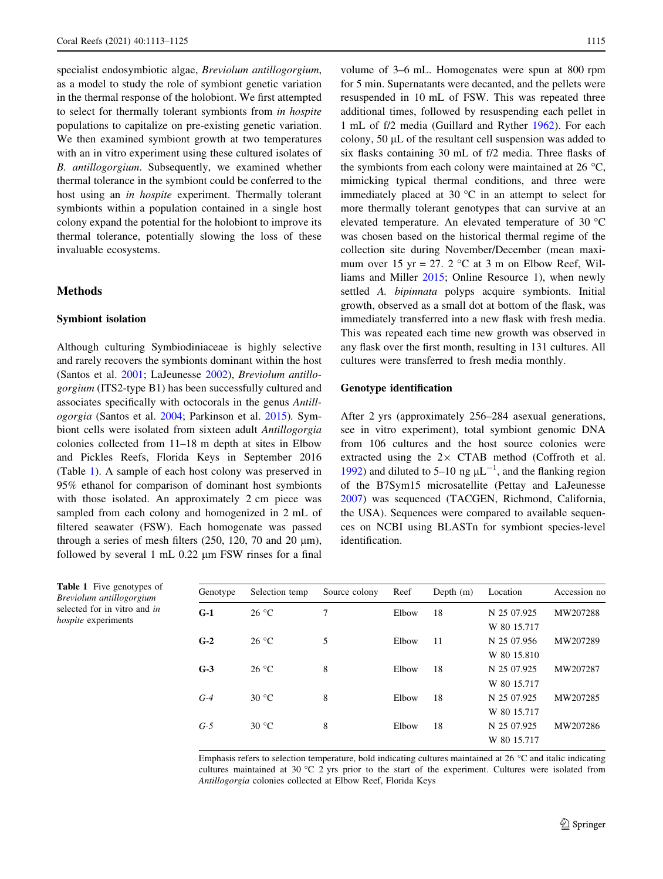<span id="page-2-0"></span>specialist endosymbiotic algae, Breviolum antillogorgium, as a model to study the role of symbiont genetic variation in the thermal response of the holobiont. We first attempted to select for thermally tolerant symbionts from in hospite populations to capitalize on pre-existing genetic variation. We then examined symbiont growth at two temperatures with an in vitro experiment using these cultured isolates of B. antillogorgium. Subsequently, we examined whether thermal tolerance in the symbiont could be conferred to the host using an in hospite experiment. Thermally tolerant symbionts within a population contained in a single host colony expand the potential for the holobiont to improve its thermal tolerance, potentially slowing the loss of these invaluable ecosystems.

# Methods

### Symbiont isolation

Although culturing Symbiodiniaceae is highly selective and rarely recovers the symbionts dominant within the host (Santos et al. [2001](#page-12-0); LaJeunesse [2002\)](#page-11-0), Breviolum antillogorgium (ITS2-type B1) has been successfully cultured and associates specifically with octocorals in the genus Antillogorgia (Santos et al. [2004;](#page-12-0) Parkinson et al. [2015](#page-11-0)). Symbiont cells were isolated from sixteen adult Antillogorgia colonies collected from 11–18 m depth at sites in Elbow and Pickles Reefs, Florida Keys in September 2016 (Table 1). A sample of each host colony was preserved in 95% ethanol for comparison of dominant host symbionts with those isolated. An approximately 2 cm piece was sampled from each colony and homogenized in 2 mL of filtered seawater (FSW). Each homogenate was passed through a series of mesh filters  $(250, 120, 70, 20, \mu m)$ , followed by several  $1 \text{ mL} 0.22 \mu \text{m}$  FSW rinses for a final

volume of 3–6 mL. Homogenates were spun at 800 rpm for 5 min. Supernatants were decanted, and the pellets were resuspended in 10 mL of FSW. This was repeated three additional times, followed by resuspending each pellet in 1 mL of f/2 media (Guillard and Ryther [1962](#page-11-0)). For each colony,  $50 \mu L$  of the resultant cell suspension was added to six flasks containing 30 mL of f/2 media. Three flasks of the symbionts from each colony were maintained at 26  $\degree$ C, mimicking typical thermal conditions, and three were immediately placed at 30  $^{\circ}$ C in an attempt to select for more thermally tolerant genotypes that can survive at an elevated temperature. An elevated temperature of 30 °C was chosen based on the historical thermal regime of the collection site during November/December (mean maximum over 15 yr = 27. 2  $\degree$ C at 3 m on Elbow Reef, Williams and Miller [2015;](#page-12-0) Online Resource 1), when newly settled A. bipinnata polyps acquire symbionts. Initial growth, observed as a small dot at bottom of the flask, was immediately transferred into a new flask with fresh media. This was repeated each time new growth was observed in any flask over the first month, resulting in 131 cultures. All cultures were transferred to fresh media monthly.

#### Genotype identification

After 2 yrs (approximately 256–284 asexual generations, see in vitro experiment), total symbiont genomic DNA from 106 cultures and the host source colonies were extracted using the  $2 \times$  CTAB method (Coffroth et al. [1992](#page-10-0)) and diluted to 5–10 ng  $\mu L^{-1}$ , and the flanking region of the B7Sym15 microsatellite (Pettay and LaJeunesse [2007](#page-12-0)) was sequenced (TACGEN, Richmond, California, the USA). Sequences were compared to available sequences on NCBI using BLASTn for symbiont species-level identification.

| Genotype | Selection temp | Source colony | Reef  | Depth $(m)$ | Location    | Accession no |
|----------|----------------|---------------|-------|-------------|-------------|--------------|
| $G-1$    | $26^{\circ}$ C | 7             | Elbow | 18          | N 25 07.925 | MW207288     |
|          |                |               |       |             | W 80 15.717 |              |
| $G-2$    | $26^{\circ}$ C | 5             | Elbow | 11          | N 25 07.956 | MW207289     |
|          |                |               |       |             | W 80 15.810 |              |
| $G-3$    | $26^{\circ}$ C | 8             | Elbow | 18          | N 25 07.925 | MW207287     |
|          |                |               |       |             | W 80 15.717 |              |
| $G-4$    | $30^{\circ}$ C | 8             | Elbow | 18          | N 25 07.925 | MW207285     |
|          |                |               |       |             | W 80 15.717 |              |
| $G-5$    | $30^{\circ}$ C | 8             | Elbow | 18          | N 25 07.925 | MW207286     |
|          |                |               |       |             | W 80 15.717 |              |

Emphasis refers to selection temperature, bold indicating cultures maintained at 26  $^{\circ}$ C and italic indicating cultures maintained at 30 °C 2 yrs prior to the start of the experiment. Cultures were isolated from Antillogorgia colonies collected at Elbow Reef, Florida Keys

| <b>Table 1</b> Five genotypes of |
|----------------------------------|
| Breviolum antillogorgium         |
| selected for in vitro and in     |
| <i>hospite</i> experiments       |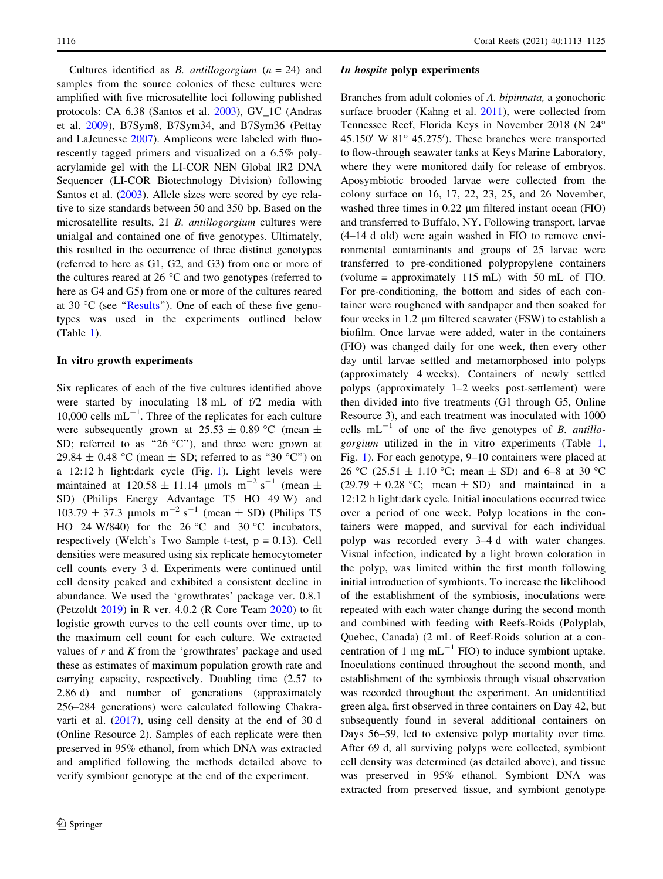Cultures identified as *B. antillogorgium*  $(n = 24)$  and samples from the source colonies of these cultures were amplified with five microsatellite loci following published protocols: CA 6.38 (Santos et al. [2003](#page-12-0)), GV\_1C (Andras et al. [2009](#page-10-0)), B7Sym8, B7Sym34, and B7Sym36 (Pettay and LaJeunesse [2007\)](#page-12-0). Amplicons were labeled with fluorescently tagged primers and visualized on a 6.5% polyacrylamide gel with the LI-COR NEN Global IR2 DNA Sequencer (LI-COR Biotechnology Division) following Santos et al. [\(2003](#page-12-0)). Allele sizes were scored by eye relative to size standards between 50 and 350 bp. Based on the microsatellite results, 21 B. antillogorgium cultures were unialgal and contained one of five genotypes. Ultimately, this resulted in the occurrence of three distinct genotypes (referred to here as G1, G2, and G3) from one or more of the cultures reared at 26 $\degree$ C and two genotypes (referred to here as G4 and G5) from one or more of the cultures reared at 30  $^{\circ}$ C (see "Results"). One of each of these five genotypes was used in the experiments outlined below (Table [1\)](#page-2-0).

#### In vitro growth experiments

Six replicates of each of the five cultures identified above were started by inoculating 18 mL of f/2 media with 10,000 cells  $mL^{-1}$ . Three of the replicates for each culture were subsequently grown at  $25.53 \pm 0.89$  °C (mean  $\pm$ SD; referred to as "26  $^{\circ}$ C"), and three were grown at 29.84  $\pm$  0.48 °C (mean  $\pm$  SD; referred to as "30 °C") on a 12:12 h light:dark cycle (Fig. [1\)](#page-4-0). Light levels were maintained at  $120.58 \pm 11.14$  µmols m<sup>-2</sup> s<sup>-1</sup> (mean  $\pm$ SD) (Philips Energy Advantage T5 HO 49 W) and  $103.79 \pm 37.3 \text{ \mu mols } m^{-2} s^{-1} \text{ (mean } \pm SD) \text{ (Philips T5)}$ HO 24 W/840) for the 26 °C and 30 °C incubators, respectively (Welch's Two Sample t-test,  $p = 0.13$ ). Cell densities were measured using six replicate hemocytometer cell counts every 3 d. Experiments were continued until cell density peaked and exhibited a consistent decline in abundance. We used the 'growthrates' package ver. 0.8.1 (Petzoldt [2019\)](#page-12-0) in R ver. 4.0.2 (R Core Team [2020\)](#page-12-0) to fit logistic growth curves to the cell counts over time, up to the maximum cell count for each culture. We extracted values of  $r$  and  $K$  from the 'growthrates' package and used these as estimates of maximum population growth rate and carrying capacity, respectively. Doubling time (2.57 to 2.86 d) and number of generations (approximately 256–284 generations) were calculated following Chakravarti et al. ([2017\)](#page-10-0), using cell density at the end of 30 d (Online Resource 2). Samples of each replicate were then preserved in 95% ethanol, from which DNA was extracted and amplified following the methods detailed above to verify symbiont genotype at the end of the experiment.

#### In hospite polyp experiments

Branches from adult colonies of A. bipinnata, a gonochoric surface brooder (Kahng et al. [2011\)](#page-11-0), were collected from Tennessee Reef, Florida Keys in November 2018 (N 24  $45.150'$  W  $81°$   $45.275'$ ). These branches were transported to flow-through seawater tanks at Keys Marine Laboratory, where they were monitored daily for release of embryos. Aposymbiotic brooded larvae were collected from the colony surface on 16, 17, 22, 23, 25, and 26 November, washed three times in 0.22  $\mu$ m filtered instant ocean (FIO) and transferred to Buffalo, NY. Following transport, larvae (4–14 d old) were again washed in FIO to remove environmental contaminants and groups of 25 larvae were transferred to pre-conditioned polypropylene containers (volume = approximately 115 mL) with 50 mL of FIO. For pre-conditioning, the bottom and sides of each container were roughened with sandpaper and then soaked for four weeks in 1.2 µm filtered seawater (FSW) to establish a biofilm. Once larvae were added, water in the containers (FIO) was changed daily for one week, then every other day until larvae settled and metamorphosed into polyps (approximately 4 weeks). Containers of newly settled polyps (approximately 1–2 weeks post-settlement) were then divided into five treatments (G1 through G5, Online Resource 3), and each treatment was inoculated with 1000 cells  $mL^{-1}$  of one of the five genotypes of B. antillogorgium utilized in the in vitro experiments (Table [1,](#page-2-0) Fig. [1](#page-4-0)). For each genotype, 9–10 containers were placed at 26 °C (25.51  $\pm$  1.10 °C; mean  $\pm$  SD) and 6–8 at 30 °C  $(29.79 \pm 0.28 \degree C;$  mean  $\pm$  SD) and maintained in a 12:12 h light:dark cycle. Initial inoculations occurred twice over a period of one week. Polyp locations in the containers were mapped, and survival for each individual polyp was recorded every 3–4 d with water changes. Visual infection, indicated by a light brown coloration in the polyp, was limited within the first month following initial introduction of symbionts. To increase the likelihood of the establishment of the symbiosis, inoculations were repeated with each water change during the second month and combined with feeding with Reefs-Roids (Polyplab, Quebec, Canada) (2 mL of Reef-Roids solution at a concentration of 1 mg  $mL^{-1}$  FIO) to induce symbiont uptake. Inoculations continued throughout the second month, and establishment of the symbiosis through visual observation was recorded throughout the experiment. An unidentified green alga, first observed in three containers on Day 42, but subsequently found in several additional containers on Days 56–59, led to extensive polyp mortality over time. After 69 d, all surviving polyps were collected, symbiont cell density was determined (as detailed above), and tissue was preserved in 95% ethanol. Symbiont DNA was extracted from preserved tissue, and symbiont genotype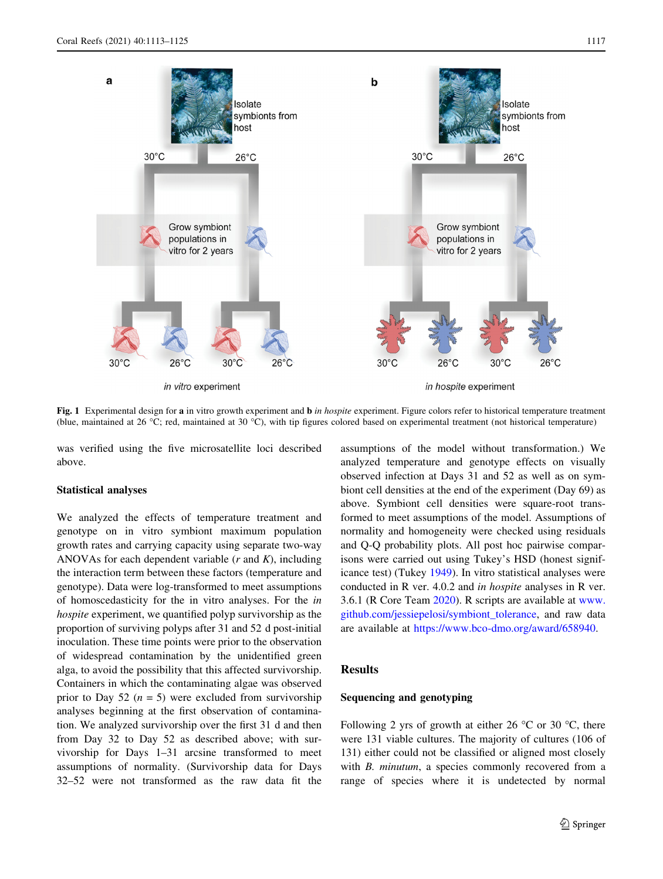<span id="page-4-0"></span>

Fig. 1 Experimental design for a in vitro growth experiment and  $\mathbf{b}$  in hospite experiment. Figure colors refer to historical temperature treatment (blue, maintained at 26 °C; red, maintained at 30 °C), with tip figures colored based on experimental treatment (not historical temperature)

was verified using the five microsatellite loci described above.

# Statistical analyses

We analyzed the effects of temperature treatment and genotype on in vitro symbiont maximum population growth rates and carrying capacity using separate two-way ANOVAs for each dependent variable  $(r$  and  $K)$ , including the interaction term between these factors (temperature and genotype). Data were log-transformed to meet assumptions of homoscedasticity for the in vitro analyses. For the in hospite experiment, we quantified polyp survivorship as the proportion of surviving polyps after 31 and 52 d post-initial inoculation. These time points were prior to the observation of widespread contamination by the unidentified green alga, to avoid the possibility that this affected survivorship. Containers in which the contaminating algae was observed prior to Day 52 ( $n = 5$ ) were excluded from survivorship analyses beginning at the first observation of contamination. We analyzed survivorship over the first 31 d and then from Day 32 to Day 52 as described above; with survivorship for Days 1–31 arcsine transformed to meet assumptions of normality. (Survivorship data for Days 32–52 were not transformed as the raw data fit the assumptions of the model without transformation.) We analyzed temperature and genotype effects on visually observed infection at Days 31 and 52 as well as on symbiont cell densities at the end of the experiment (Day 69) as above. Symbiont cell densities were square-root transformed to meet assumptions of the model. Assumptions of normality and homogeneity were checked using residuals and Q-Q probability plots. All post hoc pairwise comparisons were carried out using Tukey's HSD (honest significance test) (Tukey [1949](#page-12-0)). In vitro statistical analyses were conducted in R ver. 4.0.2 and in hospite analyses in R ver. 3.6.1 (R Core Team [2020](#page-12-0)). R scripts are available at [www.](http://www.github.com/jessiepelosi/symbiont_tolerance) [github.com/jessiepelosi/symbiont\\_tolerance](http://www.github.com/jessiepelosi/symbiont_tolerance), and raw data are available at <https://www.bco-dmo.org/award/658940>.

# Results

# Sequencing and genotyping

Following 2 yrs of growth at either 26  $\degree$ C or 30  $\degree$ C, there were 131 viable cultures. The majority of cultures (106 of 131) either could not be classified or aligned most closely with *B. minutum*, a species commonly recovered from a range of species where it is undetected by normal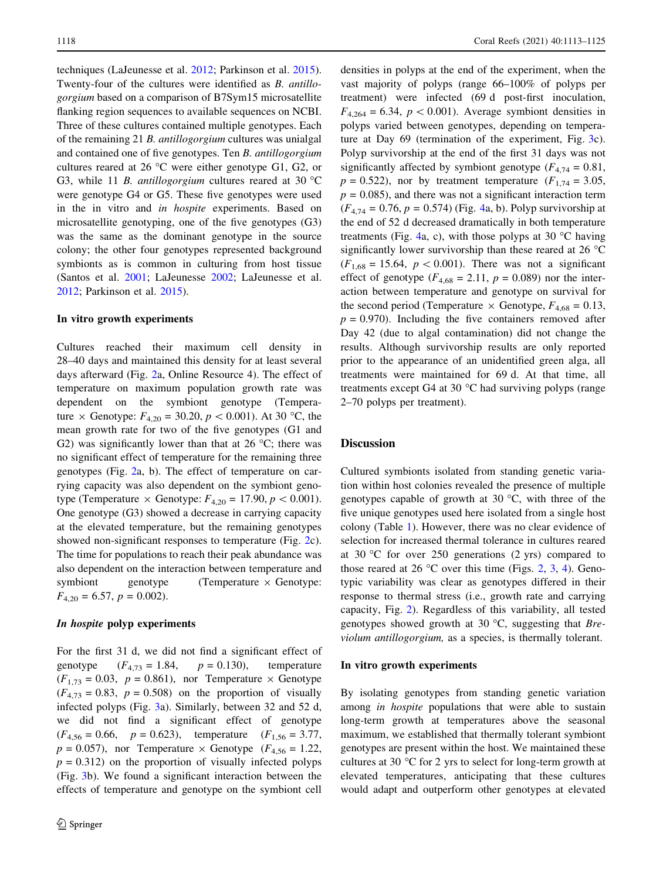techniques (LaJeunesse et al. [2012;](#page-11-0) Parkinson et al. [2015](#page-11-0)). Twenty-four of the cultures were identified as B. antillogorgium based on a comparison of B7Sym15 microsatellite flanking region sequences to available sequences on NCBI. Three of these cultures contained multiple genotypes. Each of the remaining 21 B. antillogorgium cultures was unialgal and contained one of five genotypes. Ten B. antillogorgium cultures reared at 26  $\degree$ C were either genotype G1, G2, or G3, while 11 B. antillogorgium cultures reared at 30  $^{\circ}$ C were genotype G4 or G5. These five genotypes were used in the in vitro and in hospite experiments. Based on microsatellite genotyping, one of the five genotypes (G3) was the same as the dominant genotype in the source colony; the other four genotypes represented background symbionts as is common in culturing from host tissue (Santos et al. [2001](#page-12-0); LaJeunesse [2002;](#page-11-0) LaJeunesse et al. [2012;](#page-11-0) Parkinson et al. [2015](#page-11-0)).

#### In vitro growth experiments

Cultures reached their maximum cell density in 28–40 days and maintained this density for at least several days afterward (Fig. [2](#page-6-0)a, Online Resource 4). The effect of temperature on maximum population growth rate was dependent on the symbiont genotype (Temperature  $\times$  Genotype:  $F_{4,20} = 30.20, p < 0.001$ . At 30 °C, the mean growth rate for two of the five genotypes (G1 and G2) was significantly lower than that at  $26^{\circ}$ C; there was no significant effect of temperature for the remaining three genotypes (Fig. [2a](#page-6-0), b). The effect of temperature on carrying capacity was also dependent on the symbiont genotype (Temperature  $\times$  Genotype:  $F_{4,20} = 17.90, p < 0.001$ ). One genotype (G3) showed a decrease in carrying capacity at the elevated temperature, but the remaining genotypes showed non-significant responses to temperature (Fig. [2c](#page-6-0)). The time for populations to reach their peak abundance was also dependent on the interaction between temperature and symbiont genotype (Temperature  $\times$  Genotype:  $F_{4,20} = 6.57, p = 0.002$ .

# In hospite polyp experiments

For the first 31 d, we did not find a significant effect of genotype  $(F_{4,73} = 1.84, p = 0.130)$ , temperature  $(F_{1,73} = 0.03, p = 0.861)$ , nor Temperature  $\times$  Genotype  $(F_{4,73} = 0.83, p = 0.508)$  on the proportion of visually infected polyps (Fig. [3a](#page-7-0)). Similarly, between 32 and 52 d, we did not find a significant effect of genotype  $(F_{4,56} = 0.66, p = 0.623)$ , temperature  $(F_{1,56} = 3.77,$  $p = 0.057$ ), nor Temperature  $\times$  Genotype ( $F_{4,56} = 1.22$ ,  $p = 0.312$ ) on the proportion of visually infected polyps (Fig. [3](#page-7-0)b). We found a significant interaction between the effects of temperature and genotype on the symbiont cell densities in polyps at the end of the experiment, when the vast majority of polyps (range 66–100% of polyps per treatment) were infected (69 d post-first inoculation,  $F_{4,264} = 6.34$ ,  $p < 0.001$ ). Average symbiont densities in polyps varied between genotypes, depending on temperature at Day 69 (termination of the experiment, Fig. [3c](#page-7-0)). Polyp survivorship at the end of the first 31 days was not significantly affected by symbiont genotype  $(F_{4,74} = 0.81,$  $p = 0.522$ ), nor by treatment temperature ( $F_{1,74} = 3.05$ ,  $p = 0.085$ , and there was not a significant interaction term  $(F_{4,74} = 0.76, p = 0.574)$  $(F_{4,74} = 0.76, p = 0.574)$  $(F_{4,74} = 0.76, p = 0.574)$  (Fig. 4a, b). Polyp survivorship at the end of 52 d decreased dramatically in both temperature treatments (Fig. [4a](#page-8-0), c), with those polyps at 30  $^{\circ}$ C having significantly lower survivorship than these reared at 26  $\degree$ C  $(F_{1,68} = 15.64, p < 0.001)$ . There was not a significant effect of genotype  $(F_{4,68} = 2.11, p = 0.089)$  nor the interaction between temperature and genotype on survival for the second period (Temperature  $\times$  Genotype,  $F_{4,68} = 0.13$ ,  $p = 0.970$ . Including the five containers removed after Day 42 (due to algal contamination) did not change the results. Although survivorship results are only reported prior to the appearance of an unidentified green alga, all treatments were maintained for 69 d. At that time, all treatments except G4 at 30 $\degree$ C had surviving polyps (range 2–70 polyps per treatment).

# **Discussion**

Cultured symbionts isolated from standing genetic variation within host colonies revealed the presence of multiple genotypes capable of growth at 30  $\degree$ C, with three of the five unique genotypes used here isolated from a single host colony (Table [1](#page-2-0)). However, there was no clear evidence of selection for increased thermal tolerance in cultures reared at 30  $\degree$ C for over 250 generations (2 yrs) compared to those reared at [2](#page-6-0)6 °C over this time (Figs. 2, [3](#page-7-0), [4](#page-8-0)). Genotypic variability was clear as genotypes differed in their response to thermal stress (i.e., growth rate and carrying capacity, Fig. [2](#page-6-0)). Regardless of this variability, all tested genotypes showed growth at 30  $^{\circ}$ C, suggesting that *Bre*violum antillogorgium, as a species, is thermally tolerant.

### In vitro growth experiments

By isolating genotypes from standing genetic variation among in hospite populations that were able to sustain long-term growth at temperatures above the seasonal maximum, we established that thermally tolerant symbiont genotypes are present within the host. We maintained these cultures at 30  $\degree$ C for 2 yrs to select for long-term growth at elevated temperatures, anticipating that these cultures would adapt and outperform other genotypes at elevated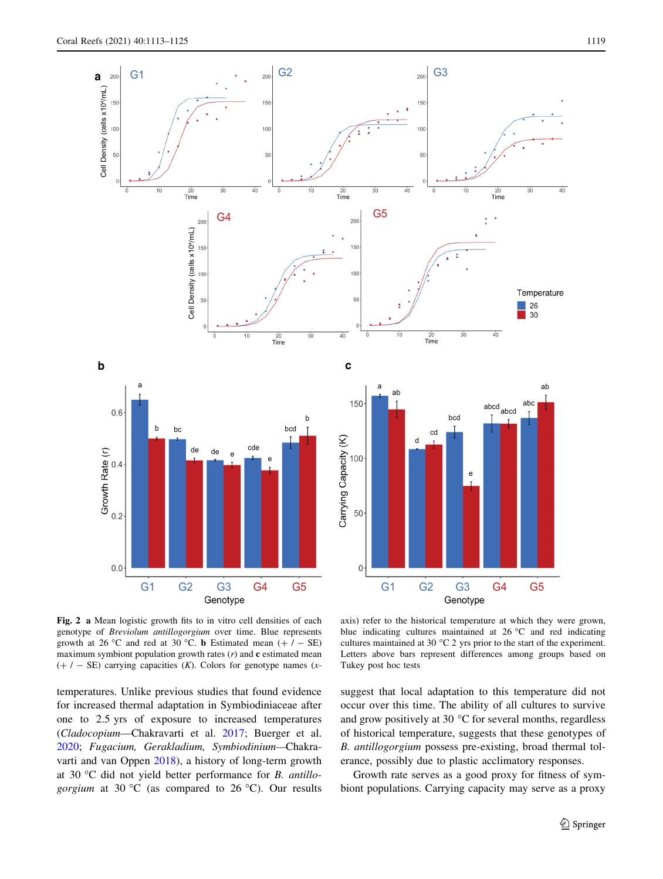<span id="page-6-0"></span>

Fig. 2 a Mean logistic growth fits to in vitro cell densities of each genotype of Breviolum antillogorgium over time. Blue represents growth at 26 °C and red at 30 °C. **b** Estimated mean  $(+ / - SE)$ maximum symbiont population growth rates  $(r)$  and  $c$  estimated mean  $(+ / - SE)$  carrying capacities (K). Colors for genotype names (x-

temperatures. Unlike previous studies that found evidence for increased thermal adaptation in Symbiodiniaceae after one to 2.5 yrs of exposure to increased temperatures (Cladocopium—Chakravarti et al. [2017;](#page-10-0) Buerger et al. [2020;](#page-10-0) Fugacium, Gerakladium, Symbiodinium—Chakravarti and van Oppen [2018](#page-10-0)), a history of long-term growth at 30 °C did not yield better performance for  $B$ . antillogorgium at 30 °C (as compared to 26 °C). Our results

axis) refer to the historical temperature at which they were grown, blue indicating cultures maintained at  $26^{\circ}$ C and red indicating cultures maintained at 30  $^{\circ}$ C 2 yrs prior to the start of the experiment. Letters above bars represent differences among groups based on Tukey post hoc tests

suggest that local adaptation to this temperature did not occur over this time. The ability of all cultures to survive and grow positively at 30 $\degree$ C for several months, regardless of historical temperature, suggests that these genotypes of B. antillogorgium possess pre-existing, broad thermal tolerance, possibly due to plastic acclimatory responses.

Growth rate serves as a good proxy for fitness of symbiont populations. Carrying capacity may serve as a proxy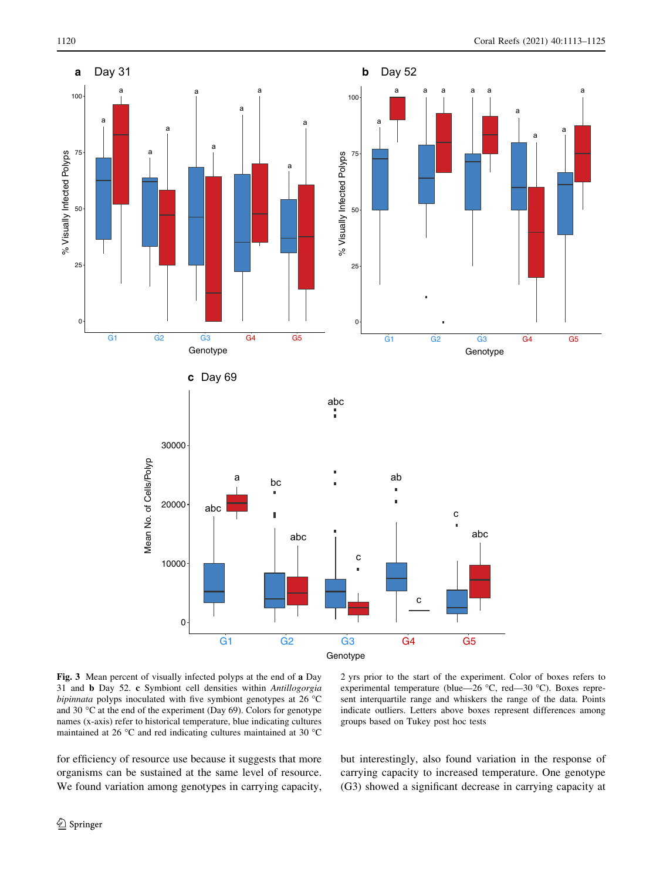<span id="page-7-0"></span>

Fig. 3 Mean percent of visually infected polyps at the end of a Day 31 and b Day 52. c Symbiont cell densities within Antillogorgia bipinnata polyps inoculated with five symbiont genotypes at  $26 °C$ and 30  $\degree$ C at the end of the experiment (Day 69). Colors for genotype names (x-axis) refer to historical temperature, blue indicating cultures maintained at 26 °C and red indicating cultures maintained at 30 °C

2 yrs prior to the start of the experiment. Color of boxes refers to experimental temperature (blue—26  $\degree$ C, red—30  $\degree$ C). Boxes represent interquartile range and whiskers the range of the data. Points indicate outliers. Letters above boxes represent differences among groups based on Tukey post hoc tests

for efficiency of resource use because it suggests that more organisms can be sustained at the same level of resource. We found variation among genotypes in carrying capacity, but interestingly, also found variation in the response of carrying capacity to increased temperature. One genotype (G3) showed a significant decrease in carrying capacity at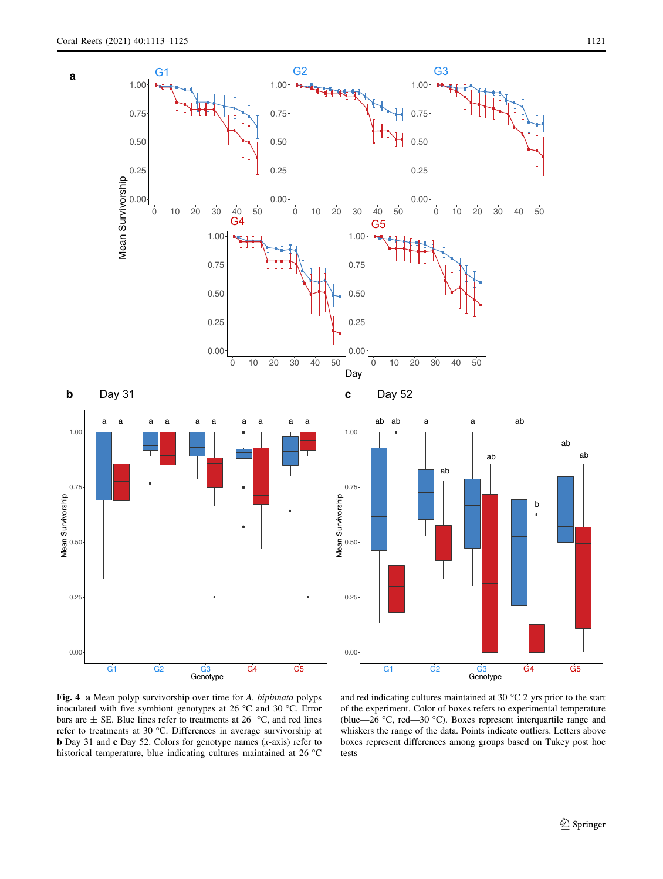<span id="page-8-0"></span>

Fig. 4 a Mean polyp survivorship over time for A. bipinnata polyps inoculated with five symbiont genotypes at 26  $^{\circ}$ C and 30  $^{\circ}$ C. Error bars are  $\pm$  SE. Blue lines refer to treatments at 26 °C, and red lines refer to treatments at 30 °C. Differences in average survivorship at **b** Day 31 and **c** Day 52. Colors for genotype names  $(x\text{-axis})$  refer to historical temperature, blue indicating cultures maintained at  $26^{\circ}$ C

and red indicating cultures maintained at 30  $^{\circ}$ C 2 yrs prior to the start of the experiment. Color of boxes refers to experimental temperature (blue—26 °C, red—30 °C). Boxes represent interquartile range and whiskers the range of the data. Points indicate outliers. Letters above boxes represent differences among groups based on Tukey post hoc tests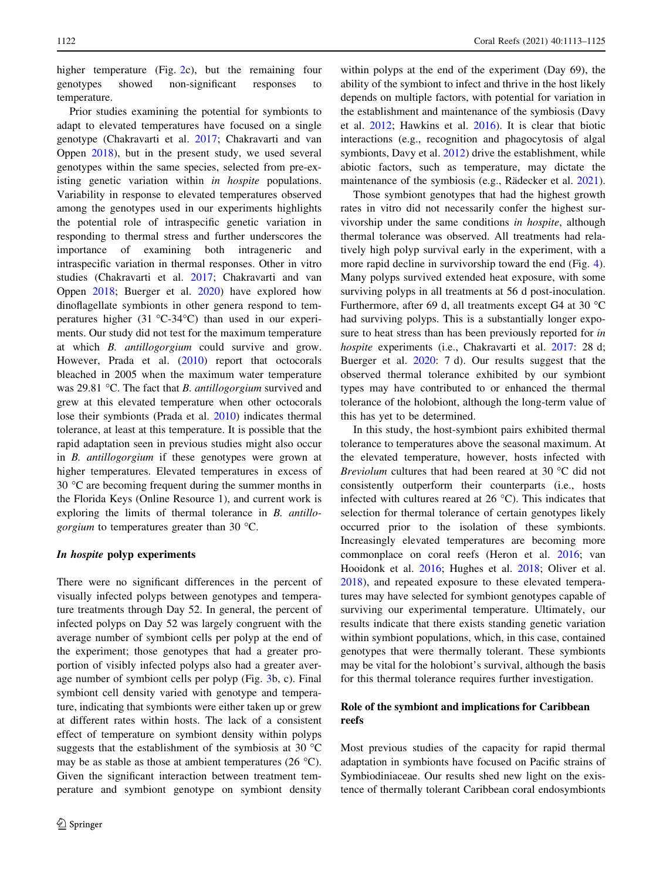higher temperature (Fig. [2c](#page-6-0)), but the remaining four genotypes showed non-significant responses to temperature.

Prior studies examining the potential for symbionts to adapt to elevated temperatures have focused on a single genotype (Chakravarti et al. [2017](#page-10-0); Chakravarti and van Oppen [2018](#page-10-0)), but in the present study, we used several genotypes within the same species, selected from pre-existing genetic variation within in hospite populations. Variability in response to elevated temperatures observed among the genotypes used in our experiments highlights the potential role of intraspecific genetic variation in responding to thermal stress and further underscores the importance of examining both intrageneric and intraspecific variation in thermal responses. Other in vitro studies (Chakravarti et al. [2017](#page-10-0); Chakravarti and van Oppen [2018](#page-10-0); Buerger et al. [2020\)](#page-10-0) have explored how dinoflagellate symbionts in other genera respond to temperatures higher  $(31 \text{ °C-}34 \text{ °C})$  than used in our experiments. Our study did not test for the maximum temperature at which B. antillogorgium could survive and grow. However, Prada et al. [\(2010](#page-12-0)) report that octocorals bleached in 2005 when the maximum water temperature was 29.81 °C. The fact that *B. antillogorgium* survived and grew at this elevated temperature when other octocorals lose their symbionts (Prada et al. [2010](#page-12-0)) indicates thermal tolerance, at least at this temperature. It is possible that the rapid adaptation seen in previous studies might also occur in B. antillogorgium if these genotypes were grown at higher temperatures. Elevated temperatures in excess of  $30^{\circ}$ C are becoming frequent during the summer months in the Florida Keys (Online Resource 1), and current work is exploring the limits of thermal tolerance in B. antillo*gorgium* to temperatures greater than 30  $^{\circ}$ C.

# In hospite polyp experiments

There were no significant differences in the percent of visually infected polyps between genotypes and temperature treatments through Day 52. In general, the percent of infected polyps on Day 52 was largely congruent with the average number of symbiont cells per polyp at the end of the experiment; those genotypes that had a greater proportion of visibly infected polyps also had a greater average number of symbiont cells per polyp (Fig. [3](#page-7-0)b, c). Final symbiont cell density varied with genotype and temperature, indicating that symbionts were either taken up or grew at different rates within hosts. The lack of a consistent effect of temperature on symbiont density within polyps suggests that the establishment of the symbiosis at 30  $^{\circ}$ C may be as stable as those at ambient temperatures (26  $^{\circ}$ C). Given the significant interaction between treatment temperature and symbiont genotype on symbiont density

within polyps at the end of the experiment (Day 69), the ability of the symbiont to infect and thrive in the host likely depends on multiple factors, with potential for variation in the establishment and maintenance of the symbiosis (Davy et al. [2012](#page-11-0); Hawkins et al. [2016\)](#page-11-0). It is clear that biotic interactions (e.g., recognition and phagocytosis of algal symbionts, Davy et al. [2012](#page-11-0)) drive the establishment, while abiotic factors, such as temperature, may dictate the maintenance of the symbiosis (e.g., Rädecker et al. [2021](#page-12-0)).

Those symbiont genotypes that had the highest growth rates in vitro did not necessarily confer the highest survivorship under the same conditions in hospite, although thermal tolerance was observed. All treatments had relatively high polyp survival early in the experiment, with a more rapid decline in survivorship toward the end (Fig. [4](#page-8-0)). Many polyps survived extended heat exposure, with some surviving polyps in all treatments at 56 d post-inoculation. Furthermore, after 69 d, all treatments except G4 at 30  $^{\circ}$ C had surviving polyps. This is a substantially longer exposure to heat stress than has been previously reported for in hospite experiments (i.e., Chakravarti et al. [2017:](#page-10-0) 28 d; Buerger et al. [2020](#page-10-0): 7 d). Our results suggest that the observed thermal tolerance exhibited by our symbiont types may have contributed to or enhanced the thermal tolerance of the holobiont, although the long-term value of this has yet to be determined.

In this study, the host-symbiont pairs exhibited thermal tolerance to temperatures above the seasonal maximum. At the elevated temperature, however, hosts infected with *Breviolum* cultures that had been reared at 30  $^{\circ}$ C did not consistently outperform their counterparts (i.e., hosts infected with cultures reared at  $26^{\circ}$ C). This indicates that selection for thermal tolerance of certain genotypes likely occurred prior to the isolation of these symbionts. Increasingly elevated temperatures are becoming more commonplace on coral reefs (Heron et al. [2016;](#page-11-0) van Hooidonk et al. [2016;](#page-12-0) Hughes et al. [2018](#page-11-0); Oliver et al. [2018](#page-11-0)), and repeated exposure to these elevated temperatures may have selected for symbiont genotypes capable of surviving our experimental temperature. Ultimately, our results indicate that there exists standing genetic variation within symbiont populations, which, in this case, contained genotypes that were thermally tolerant. These symbionts may be vital for the holobiont's survival, although the basis for this thermal tolerance requires further investigation.

# Role of the symbiont and implications for Caribbean reefs

Most previous studies of the capacity for rapid thermal adaptation in symbionts have focused on Pacific strains of Symbiodiniaceae. Our results shed new light on the existence of thermally tolerant Caribbean coral endosymbionts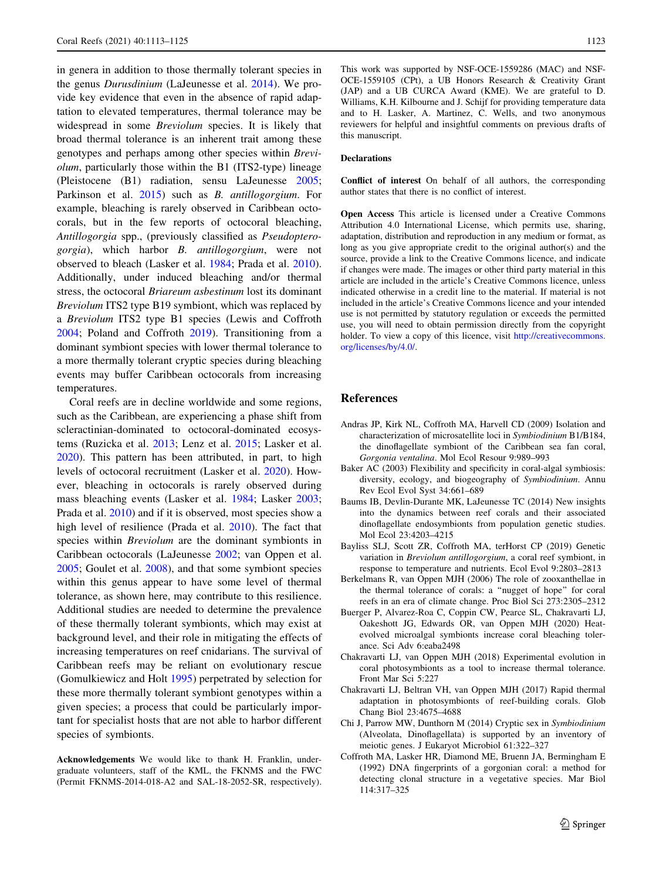<span id="page-10-0"></span>in genera in addition to those thermally tolerant species in the genus Durusdinium (LaJeunesse et al. [2014\)](#page-11-0). We provide key evidence that even in the absence of rapid adaptation to elevated temperatures, thermal tolerance may be widespread in some Breviolum species. It is likely that broad thermal tolerance is an inherent trait among these genotypes and perhaps among other species within Breviolum, particularly those within the B1 (ITS2-type) lineage (Pleistocene (B1) radiation, sensu LaJeunesse [2005](#page-11-0); Parkinson et al. [2015](#page-11-0)) such as *B. antillogorgium*. For example, bleaching is rarely observed in Caribbean octocorals, but in the few reports of octocoral bleaching, Antillogorgia spp., (previously classified as Pseudopterogorgia), which harbor B. antillogorgium, were not observed to bleach (Lasker et al. [1984;](#page-11-0) Prada et al. [2010](#page-12-0)). Additionally, under induced bleaching and/or thermal stress, the octocoral Briareum asbestinum lost its dominant Breviolum ITS2 type B19 symbiont, which was replaced by a Breviolum ITS2 type B1 species (Lewis and Coffroth [2004;](#page-11-0) Poland and Coffroth [2019](#page-12-0)). Transitioning from a dominant symbiont species with lower thermal tolerance to a more thermally tolerant cryptic species during bleaching events may buffer Caribbean octocorals from increasing temperatures.

Coral reefs are in decline worldwide and some regions, such as the Caribbean, are experiencing a phase shift from scleractinian-dominated to octocoral-dominated ecosystems (Ruzicka et al. [2013](#page-12-0); Lenz et al. [2015](#page-11-0); Lasker et al. [2020\)](#page-11-0). This pattern has been attributed, in part, to high levels of octocoral recruitment (Lasker et al. [2020](#page-11-0)). However, bleaching in octocorals is rarely observed during mass bleaching events (Lasker et al. [1984](#page-11-0); Lasker [2003](#page-11-0); Prada et al. [2010](#page-12-0)) and if it is observed, most species show a high level of resilience (Prada et al. [2010\)](#page-12-0). The fact that species within *Breviolum* are the dominant symbionts in Caribbean octocorals (LaJeunesse [2002](#page-11-0); van Oppen et al. [2005;](#page-12-0) Goulet et al. [2008\)](#page-11-0), and that some symbiont species within this genus appear to have some level of thermal tolerance, as shown here, may contribute to this resilience. Additional studies are needed to determine the prevalence of these thermally tolerant symbionts, which may exist at background level, and their role in mitigating the effects of increasing temperatures on reef cnidarians. The survival of Caribbean reefs may be reliant on evolutionary rescue (Gomulkiewicz and Holt [1995](#page-11-0)) perpetrated by selection for these more thermally tolerant symbiont genotypes within a given species; a process that could be particularly important for specialist hosts that are not able to harbor different species of symbionts.

Acknowledgements We would like to thank H. Franklin, undergraduate volunteers, staff of the KML, the FKNMS and the FWC (Permit FKNMS-2014-018-A2 and SAL-18-2052-SR, respectively). This work was supported by NSF-OCE-1559286 (MAC) and NSF-OCE-1559105 (CPt), a UB Honors Research & Creativity Grant (JAP) and a UB CURCA Award (KME). We are grateful to D. Williams, K.H. Kilbourne and J. Schijf for providing temperature data and to H. Lasker, A. Martinez, C. Wells, and two anonymous reviewers for helpful and insightful comments on previous drafts of this manuscript.

### Declarations

Conflict of interest On behalf of all authors, the corresponding author states that there is no conflict of interest.

Open Access This article is licensed under a Creative Commons Attribution 4.0 International License, which permits use, sharing, adaptation, distribution and reproduction in any medium or format, as long as you give appropriate credit to the original author(s) and the source, provide a link to the Creative Commons licence, and indicate if changes were made. The images or other third party material in this article are included in the article's Creative Commons licence, unless indicated otherwise in a credit line to the material. If material is not included in the article's Creative Commons licence and your intended use is not permitted by statutory regulation or exceeds the permitted use, you will need to obtain permission directly from the copyright holder. To view a copy of this licence, visit [http://creativecommons.](http://creativecommons.org/licenses/by/4.0/) [org/licenses/by/4.0/.](http://creativecommons.org/licenses/by/4.0/)

# References

- Andras JP, Kirk NL, Coffroth MA, Harvell CD (2009) Isolation and characterization of microsatellite loci in Symbiodinium B1/B184, the dinoflagellate symbiont of the Caribbean sea fan coral, Gorgonia ventalina. Mol Ecol Resour 9:989–993
- Baker AC (2003) Flexibility and specificity in coral-algal symbiosis: diversity, ecology, and biogeography of Symbiodinium. Annu Rev Ecol Evol Syst 34:661–689
- Baums IB, Devlin-Durante MK, LaJeunesse TC (2014) New insights into the dynamics between reef corals and their associated dinoflagellate endosymbionts from population genetic studies. Mol Ecol 23:4203–4215
- Bayliss SLJ, Scott ZR, Coffroth MA, terHorst CP (2019) Genetic variation in Breviolum antillogorgium, a coral reef symbiont, in response to temperature and nutrients. Ecol Evol 9:2803–2813
- Berkelmans R, van Oppen MJH (2006) The role of zooxanthellae in the thermal tolerance of corals: a ''nugget of hope'' for coral reefs in an era of climate change. Proc Biol Sci 273:2305–2312
- Buerger P, Alvarez-Roa C, Coppin CW, Pearce SL, Chakravarti LJ, Oakeshott JG, Edwards OR, van Oppen MJH (2020) Heatevolved microalgal symbionts increase coral bleaching tolerance. Sci Adv 6:eaba2498
- Chakravarti LJ, van Oppen MJH (2018) Experimental evolution in coral photosymbionts as a tool to increase thermal tolerance. Front Mar Sci 5:227
- Chakravarti LJ, Beltran VH, van Oppen MJH (2017) Rapid thermal adaptation in photosymbionts of reef-building corals. Glob Chang Biol 23:4675–4688
- Chi J, Parrow MW, Dunthorn M (2014) Cryptic sex in Symbiodinium (Alveolata, Dinoflagellata) is supported by an inventory of meiotic genes. J Eukaryot Microbiol 61:322–327
- Coffroth MA, Lasker HR, Diamond ME, Bruenn JA, Bermingham E (1992) DNA fingerprints of a gorgonian coral: a method for detecting clonal structure in a vegetative species. Mar Biol 114:317–325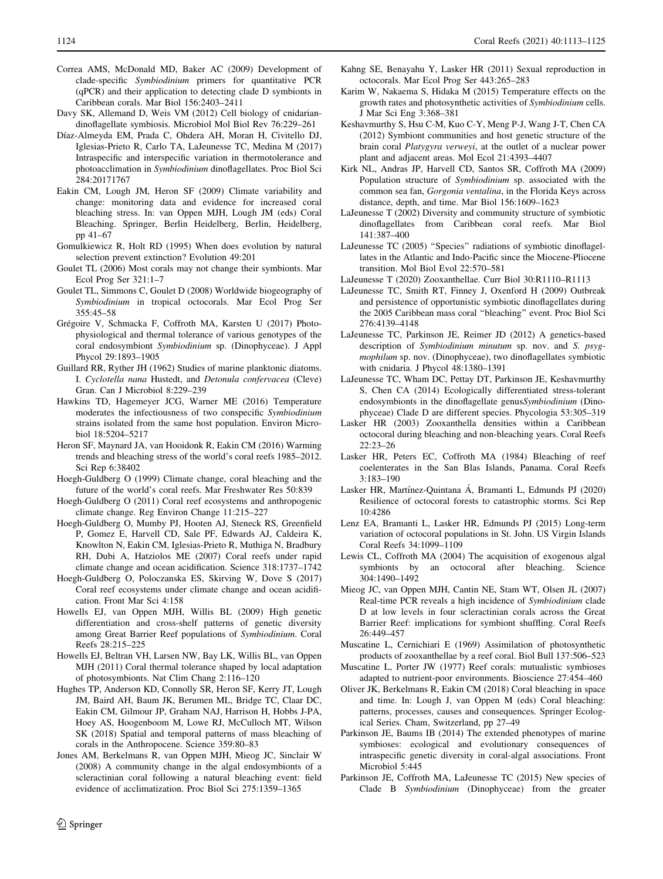- <span id="page-11-0"></span>Correa AMS, McDonald MD, Baker AC (2009) Development of clade-specific Symbiodinium primers for quantitative PCR (qPCR) and their application to detecting clade D symbionts in Caribbean corals. Mar Biol 156:2403–2411
- Davy SK, Allemand D, Weis VM (2012) Cell biology of cnidariandinoflagellate symbiosis. Microbiol Mol Biol Rev 76:229–261
- Díaz-Almeyda EM, Prada C, Ohdera AH, Moran H, Civitello DJ, Iglesias-Prieto R, Carlo TA, LaJeunesse TC, Medina M (2017) Intraspecific and interspecific variation in thermotolerance and photoacclimation in Symbiodinium dinoflagellates. Proc Biol Sci 284:20171767
- Eakin CM, Lough JM, Heron SF (2009) Climate variability and change: monitoring data and evidence for increased coral bleaching stress. In: van Oppen MJH, Lough JM (eds) Coral Bleaching. Springer, Berlin Heidelberg, Berlin, Heidelberg, pp 41–67
- Gomulkiewicz R, Holt RD (1995) When does evolution by natural selection prevent extinction? Evolution 49:201
- Goulet TL (2006) Most corals may not change their symbionts. Mar Ecol Prog Ser 321:1–7
- Goulet TL, Simmons C, Goulet D (2008) Worldwide biogeography of Symbiodinium in tropical octocorals. Mar Ecol Prog Ser 355:45–58
- Grégoire V, Schmacka F, Coffroth MA, Karsten U (2017) Photophysiological and thermal tolerance of various genotypes of the coral endosymbiont Symbiodinium sp. (Dinophyceae). J Appl Phycol 29:1893–1905
- Guillard RR, Ryther JH (1962) Studies of marine planktonic diatoms. I. Cyclotella nana Hustedt, and Detonula confervacea (Cleve) Gran. Can J Microbiol 8:229–239
- Hawkins TD, Hagemeyer JCG, Warner ME (2016) Temperature moderates the infectiousness of two conspecific Symbiodinium strains isolated from the same host population. Environ Microbiol 18:5204–5217
- Heron SF, Maynard JA, van Hooidonk R, Eakin CM (2016) Warming trends and bleaching stress of the world's coral reefs 1985–2012. Sci Rep 6:38402
- Hoegh-Guldberg O (1999) Climate change, coral bleaching and the future of the world's coral reefs. Mar Freshwater Res 50:839
- Hoegh-Guldberg O (2011) Coral reef ecosystems and anthropogenic climate change. Reg Environ Change 11:215–227
- Hoegh-Guldberg O, Mumby PJ, Hooten AJ, Steneck RS, Greenfield P, Gomez E, Harvell CD, Sale PF, Edwards AJ, Caldeira K, Knowlton N, Eakin CM, Iglesias-Prieto R, Muthiga N, Bradbury RH, Dubi A, Hatziolos ME (2007) Coral reefs under rapid climate change and ocean acidification. Science 318:1737–1742
- Hoegh-Guldberg O, Poloczanska ES, Skirving W, Dove S (2017) Coral reef ecosystems under climate change and ocean acidification. Front Mar Sci 4:158
- Howells EJ, van Oppen MJH, Willis BL (2009) High genetic differentiation and cross-shelf patterns of genetic diversity among Great Barrier Reef populations of Symbiodinium. Coral Reefs 28:215–225
- Howells EJ, Beltran VH, Larsen NW, Bay LK, Willis BL, van Oppen MJH (2011) Coral thermal tolerance shaped by local adaptation of photosymbionts. Nat Clim Chang 2:116–120
- Hughes TP, Anderson KD, Connolly SR, Heron SF, Kerry JT, Lough JM, Baird AH, Baum JK, Berumen ML, Bridge TC, Claar DC, Eakin CM, Gilmour JP, Graham NAJ, Harrison H, Hobbs J-PA, Hoey AS, Hoogenboom M, Lowe RJ, McCulloch MT, Wilson SK (2018) Spatial and temporal patterns of mass bleaching of corals in the Anthropocene. Science 359:80–83
- Jones AM, Berkelmans R, van Oppen MJH, Mieog JC, Sinclair W (2008) A community change in the algal endosymbionts of a scleractinian coral following a natural bleaching event: field evidence of acclimatization. Proc Biol Sci 275:1359–1365
- Kahng SE, Benayahu Y, Lasker HR (2011) Sexual reproduction in octocorals. Mar Ecol Prog Ser 443:265–283
- Karim W, Nakaema S, Hidaka M (2015) Temperature effects on the growth rates and photosynthetic activities of Symbiodinium cells. J Mar Sci Eng 3:368–381
- Keshavmurthy S, Hsu C-M, Kuo C-Y, Meng P-J, Wang J-T, Chen CA (2012) Symbiont communities and host genetic structure of the brain coral Platygyra verweyi, at the outlet of a nuclear power plant and adjacent areas. Mol Ecol 21:4393–4407
- Kirk NL, Andras JP, Harvell CD, Santos SR, Coffroth MA (2009) Population structure of Symbiodinium sp. associated with the common sea fan, Gorgonia ventalina, in the Florida Keys across distance, depth, and time. Mar Biol 156:1609–1623
- LaJeunesse T (2002) Diversity and community structure of symbiotic dinoflagellates from Caribbean coral reefs. Mar Biol 141:387–400
- LaJeunesse TC (2005) ''Species'' radiations of symbiotic dinoflagellates in the Atlantic and Indo-Pacific since the Miocene-Pliocene transition. Mol Biol Evol 22:570–581
- LaJeunesse T (2020) Zooxanthellae. Curr Biol 30:R1110–R1113
- LaJeunesse TC, Smith RT, Finney J, Oxenford H (2009) Outbreak and persistence of opportunistic symbiotic dinoflagellates during the 2005 Caribbean mass coral ''bleaching'' event. Proc Biol Sci 276:4139–4148
- LaJeunesse TC, Parkinson JE, Reimer JD (2012) A genetics-based description of Symbiodinium minutum sp. nov. and S. psygmophilum sp. nov. (Dinophyceae), two dinoflagellates symbiotic with cnidaria. J Phycol 48:1380–1391
- LaJeunesse TC, Wham DC, Pettay DT, Parkinson JE, Keshavmurthy S, Chen CA (2014) Ecologically differentiated stress-tolerant endosymbionts in the dinoflagellate genusSymbiodinium (Dinophyceae) Clade D are different species. Phycologia 53:305–319
- Lasker HR (2003) Zooxanthella densities within a Caribbean octocoral during bleaching and non-bleaching years. Coral Reefs 22:23–26
- Lasker HR, Peters EC, Coffroth MA (1984) Bleaching of reef coelenterates in the San Blas Islands, Panama. Coral Reefs 3:183–190
- Lasker HR, Martínez-Quintana Á, Bramanti L, Edmunds PJ (2020) Resilience of octocoral forests to catastrophic storms. Sci Rep 10:4286
- Lenz EA, Bramanti L, Lasker HR, Edmunds PJ (2015) Long-term variation of octocoral populations in St. John. US Virgin Islands Coral Reefs 34:1099–1109
- Lewis CL, Coffroth MA (2004) The acquisition of exogenous algal symbionts by an octocoral after bleaching. Science 304:1490–1492
- Mieog JC, van Oppen MJH, Cantin NE, Stam WT, Olsen JL (2007) Real-time PCR reveals a high incidence of Symbiodinium clade D at low levels in four scleractinian corals across the Great Barrier Reef: implications for symbiont shuffling. Coral Reefs 26:449–457
- Muscatine L, Cernichiari E (1969) Assimilation of photosynthetic products of zooxanthellae by a reef coral. Biol Bull 137:506–523
- Muscatine L, Porter JW (1977) Reef corals: mutualistic symbioses adapted to nutrient-poor environments. Bioscience 27:454–460
- Oliver JK, Berkelmans R, Eakin CM (2018) Coral bleaching in space and time. In: Lough J, van Oppen M (eds) Coral bleaching: patterns, processes, causes and consequences. Springer Ecological Series. Cham, Switzerland, pp 27–49
- Parkinson JE, Baums IB (2014) The extended phenotypes of marine symbioses: ecological and evolutionary consequences of intraspecific genetic diversity in coral-algal associations. Front Microbiol 5:445
- Parkinson JE, Coffroth MA, LaJeunesse TC (2015) New species of Clade B Symbiodinium (Dinophyceae) from the greater